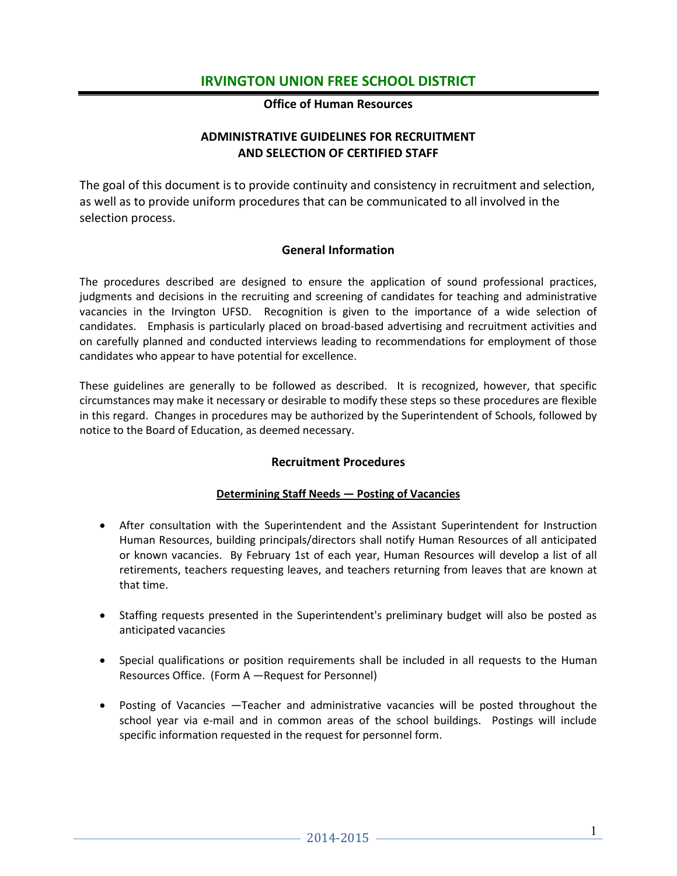### **Office of Human Resources**

### **ADMINISTRATIVE GUIDELINES FOR RECRUITMENT AND SELECTION OF CERTIFIED STAFF**

The goal of this document is to provide continuity and consistency in recruitment and selection, as well as to provide uniform procedures that can be communicated to all involved in the selection process.

### **General Information**

The procedures described are designed to ensure the application of sound professional practices, judgments and decisions in the recruiting and screening of candidates for teaching and administrative vacancies in the Irvington UFSD. Recognition is given to the importance of a wide selection of candidates. Emphasis is particularly placed on broad-based advertising and recruitment activities and on carefully planned and conducted interviews leading to recommendations for employment of those candidates who appear to have potential for excellence.

These guidelines are generally to be followed as described. It is recognized, however, that specific circumstances may make it necessary or desirable to modify these steps so these procedures are flexible in this regard. Changes in procedures may be authorized by the Superintendent of Schools, followed by notice to the Board of Education, as deemed necessary.

### **Recruitment Procedures**

### **Determining Staff Needs — Posting of Vacancies**

- After consultation with the Superintendent and the Assistant Superintendent for Instruction Human Resources, building principals/directors shall notify Human Resources of all anticipated or known vacancies. By February 1st of each year, Human Resources will develop a list of all retirements, teachers requesting leaves, and teachers returning from leaves that are known at that time.
- Staffing requests presented in the Superintendent's preliminary budget will also be posted as anticipated vacancies
- Special qualifications or position requirements shall be included in all requests to the Human Resources Office. (Form A —Request for Personnel)
- Posting of Vacancies —Teacher and administrative vacancies will be posted throughout the school year via e-mail and in common areas of the school buildings. Postings will include specific information requested in the request for personnel form.

1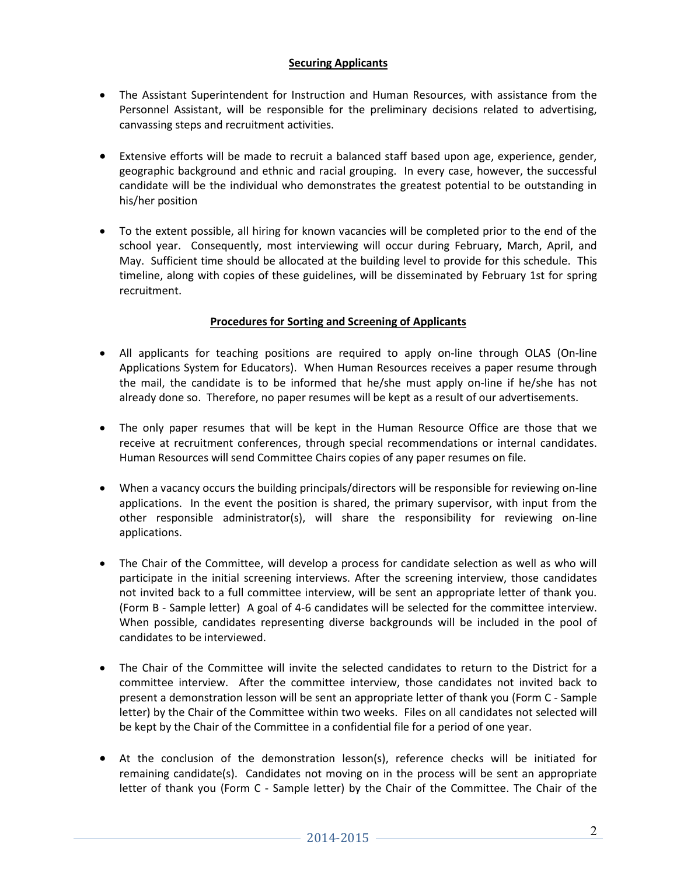### **Securing Applicants**

- The Assistant Superintendent for Instruction and Human Resources, with assistance from the Personnel Assistant, will be responsible for the preliminary decisions related to advertising, canvassing steps and recruitment activities.
- Extensive efforts will be made to recruit a balanced staff based upon age, experience, gender, geographic background and ethnic and racial grouping. In every case, however, the successful candidate will be the individual who demonstrates the greatest potential to be outstanding in his/her position
- To the extent possible, all hiring for known vacancies will be completed prior to the end of the school year. Consequently, most interviewing will occur during February, March, April, and May. Sufficient time should be allocated at the building level to provide for this schedule. This timeline, along with copies of these guidelines, will be disseminated by February 1st for spring recruitment.

### **Procedures for Sorting and Screening of Applicants**

- All applicants for teaching positions are required to apply on-line through OLAS (On-line Applications System for Educators). When Human Resources receives a paper resume through the mail, the candidate is to be informed that he/she must apply on-line if he/she has not already done so. Therefore, no paper resumes will be kept as a result of our advertisements.
- The only paper resumes that will be kept in the Human Resource Office are those that we receive at recruitment conferences, through special recommendations or internal candidates. Human Resources will send Committee Chairs copies of any paper resumes on file.
- When a vacancy occurs the building principals/directors will be responsible for reviewing on-line applications. In the event the position is shared, the primary supervisor, with input from the other responsible administrator(s), will share the responsibility for reviewing on-line applications.
- The Chair of the Committee, will develop a process for candidate selection as well as who will participate in the initial screening interviews. After the screening interview, those candidates not invited back to a full committee interview, will be sent an appropriate letter of thank you. (Form B - Sample letter) A goal of 4-6 candidates will be selected for the committee interview. When possible, candidates representing diverse backgrounds will be included in the pool of candidates to be interviewed.
- The Chair of the Committee will invite the selected candidates to return to the District for a committee interview. After the committee interview, those candidates not invited back to present a demonstration lesson will be sent an appropriate letter of thank you (Form C - Sample letter) by the Chair of the Committee within two weeks. Files on all candidates not selected will be kept by the Chair of the Committee in a confidential file for a period of one year.
- At the conclusion of the demonstration lesson(s), reference checks will be initiated for remaining candidate(s). Candidates not moving on in the process will be sent an appropriate letter of thank you (Form C - Sample letter) by the Chair of the Committee. The Chair of the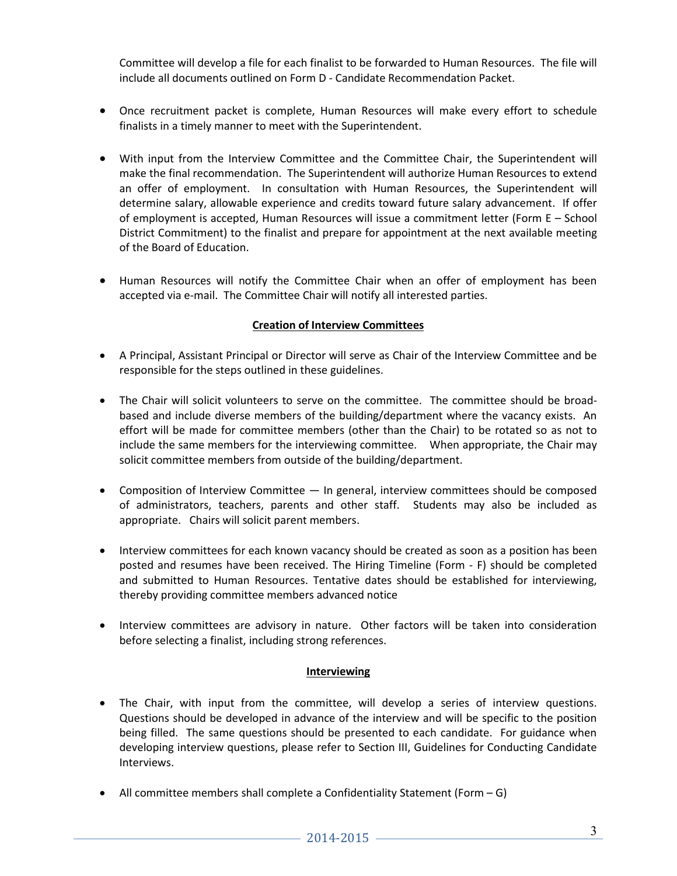Committee will develop a file for each finalist to be forwarded to Human Resources. The file will include all documents outlined on Form D - Candidate Recommendation Packet.

- Once recruitment packet is complete, Human Resources will make every effort to schedule finalists in a timely manner to meet with the Superintendent.
- With input from the Interview Committee and the Committee Chair, the Superintendent will make the final recommendation. The Superintendent will authorize Human Resources to extend an offer of employment. In consultation with Human Resources, the Superintendent will determine salary, allowable experience and credits toward future salary advancement. If offer of employment is accepted, Human Resources will issue a commitment letter (Form E – School District Commitment) to the finalist and prepare for appointment at the next available meeting of the Board of Education.
- Human Resources will notify the Committee Chair when an offer of employment has been accepted via e-mail. The Committee Chair will notify all interested parties.

### **Creation of Interview Committees**

- A Principal, Assistant Principal or Director will serve as Chair of the Interview Committee and be responsible for the steps outlined in these guidelines.
- The Chair will solicit volunteers to serve on the committee. The committee should be broadbased and include diverse members of the building/department where the vacancy exists. An effort will be made for committee members (other than the Chair) to be rotated so as not to include the same members for the interviewing committee. When appropriate, the Chair may solicit committee members from outside of the building/department.
- Composition of Interview Committee In general, interview committees should be composed of administrators, teachers, parents and other staff. Students may also be included as appropriate. Chairs will solicit parent members.
- Interview committees for each known vacancy should be created as soon as a position has been posted and resumes have been received. The Hiring Timeline (Form - F) should be completed and submitted to Human Resources. Tentative dates should be established for interviewing, thereby providing committee members advanced notice
- Interview committees are advisory in nature. Other factors will be taken into consideration before selecting a finalist, including strong references.

### **Interviewing**

- The Chair, with input from the committee, will develop a series of interview questions. Questions should be developed in advance of the interview and will be specific to the position being filled. The same questions should be presented to each candidate. For guidance when developing interview questions, please refer to Section III, Guidelines for Conducting Candidate Interviews.
- All committee members shall complete a Confidentiality Statement (Form G)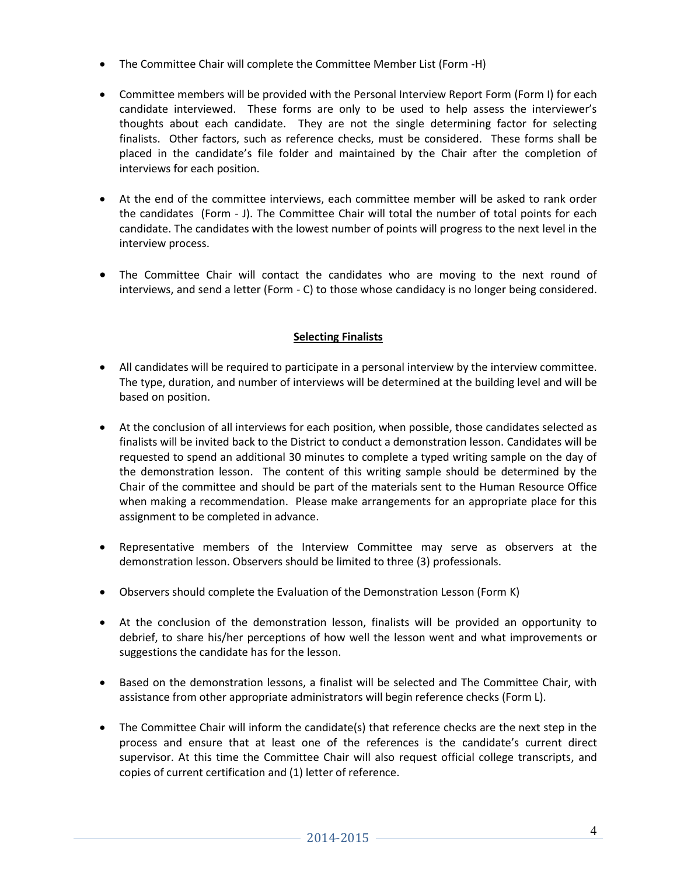- The Committee Chair will complete the Committee Member List (Form -H)
- Committee members will be provided with the Personal Interview Report Form (Form I) for each candidate interviewed. These forms are only to be used to help assess the interviewer's thoughts about each candidate. They are not the single determining factor for selecting finalists. Other factors, such as reference checks, must be considered. These forms shall be placed in the candidate's file folder and maintained by the Chair after the completion of interviews for each position.
- At the end of the committee interviews, each committee member will be asked to rank order the candidates (Form - J). The Committee Chair will total the number of total points for each candidate. The candidates with the lowest number of points will progress to the next level in the interview process.
- The Committee Chair will contact the candidates who are moving to the next round of interviews, and send a letter (Form - C) to those whose candidacy is no longer being considered.

### **Selecting Finalists**

- All candidates will be required to participate in a personal interview by the interview committee. The type, duration, and number of interviews will be determined at the building level and will be based on position.
- At the conclusion of all interviews for each position, when possible, those candidates selected as finalists will be invited back to the District to conduct a demonstration lesson. Candidates will be requested to spend an additional 30 minutes to complete a typed writing sample on the day of the demonstration lesson. The content of this writing sample should be determined by the Chair of the committee and should be part of the materials sent to the Human Resource Office when making a recommendation. Please make arrangements for an appropriate place for this assignment to be completed in advance.
- Representative members of the Interview Committee may serve as observers at the demonstration lesson. Observers should be limited to three (3) professionals.
- Observers should complete the Evaluation of the Demonstration Lesson (Form K)
- At the conclusion of the demonstration lesson, finalists will be provided an opportunity to debrief, to share his/her perceptions of how well the lesson went and what improvements or suggestions the candidate has for the lesson.
- Based on the demonstration lessons, a finalist will be selected and The Committee Chair, with assistance from other appropriate administrators will begin reference checks (Form L).
- The Committee Chair will inform the candidate(s) that reference checks are the next step in the process and ensure that at least one of the references is the candidate's current direct supervisor. At this time the Committee Chair will also request official college transcripts, and copies of current certification and (1) letter of reference.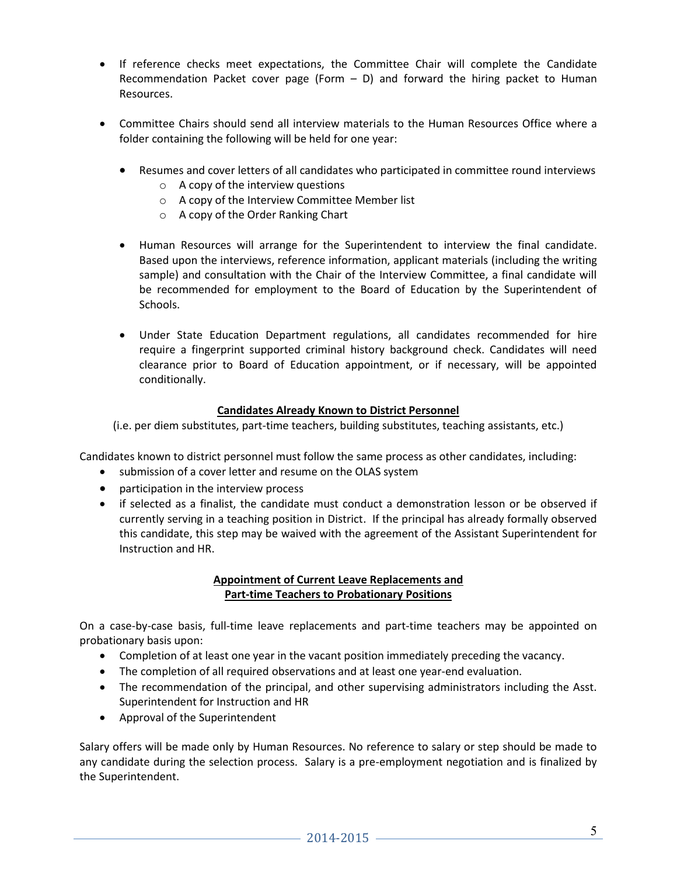- If reference checks meet expectations, the Committee Chair will complete the Candidate Recommendation Packet cover page (Form  $-$  D) and forward the hiring packet to Human Resources.
- Committee Chairs should send all interview materials to the Human Resources Office where a folder containing the following will be held for one year:
	- Resumes and cover letters of all candidates who participated in committee round interviews
		- $\circ$  A copy of the interview questions
		- o A copy of the Interview Committee Member list
		- o A copy of the Order Ranking Chart
	- Human Resources will arrange for the Superintendent to interview the final candidate. Based upon the interviews, reference information, applicant materials (including the writing sample) and consultation with the Chair of the Interview Committee, a final candidate will be recommended for employment to the Board of Education by the Superintendent of Schools.
	- Under State Education Department regulations, all candidates recommended for hire require a fingerprint supported criminal history background check. Candidates will need clearance prior to Board of Education appointment, or if necessary, will be appointed conditionally.

### **Candidates Already Known to District Personnel**

(i.e. per diem substitutes, part-time teachers, building substitutes, teaching assistants, etc.)

Candidates known to district personnel must follow the same process as other candidates, including:

- submission of a cover letter and resume on the OLAS system
- participation in the interview process
- if selected as a finalist, the candidate must conduct a demonstration lesson or be observed if currently serving in a teaching position in District. If the principal has already formally observed this candidate, this step may be waived with the agreement of the Assistant Superintendent for Instruction and HR.

### **Appointment of Current Leave Replacements and Part-time Teachers to Probationary Positions**

On a case-by-case basis, full-time leave replacements and part-time teachers may be appointed on probationary basis upon:

- Completion of at least one year in the vacant position immediately preceding the vacancy.
- The completion of all required observations and at least one year-end evaluation.
- The recommendation of the principal, and other supervising administrators including the Asst. Superintendent for Instruction and HR
- Approval of the Superintendent

Salary offers will be made only by Human Resources. No reference to salary or step should be made to any candidate during the selection process. Salary is a pre-employment negotiation and is finalized by the Superintendent.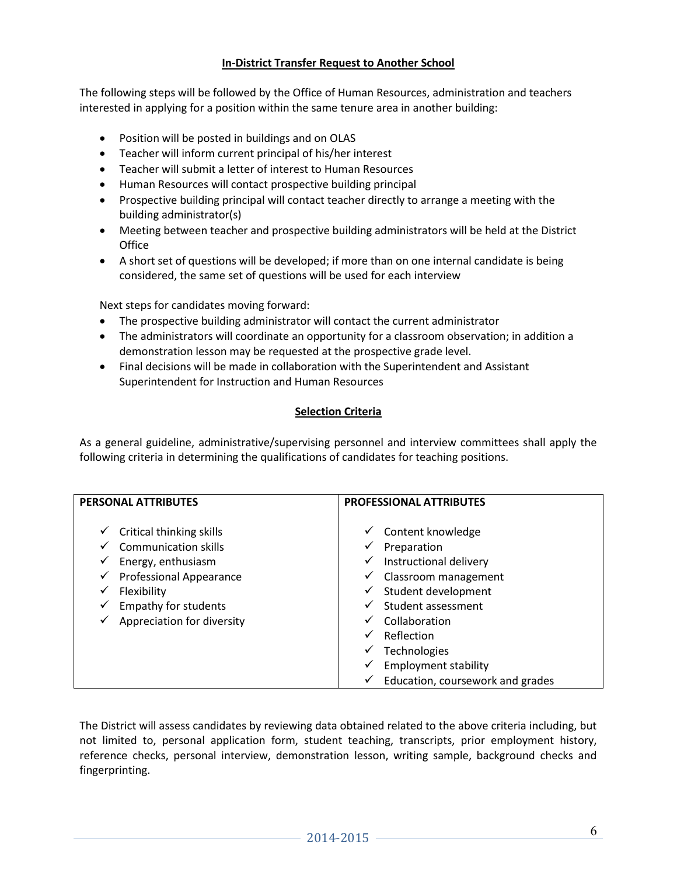### **In-District Transfer Request to Another School**

The following steps will be followed by the Office of Human Resources, administration and teachers interested in applying for a position within the same tenure area in another building:

- Position will be posted in buildings and on OLAS
- Teacher will inform current principal of his/her interest
- Teacher will submit a letter of interest to Human Resources
- Human Resources will contact prospective building principal
- Prospective building principal will contact teacher directly to arrange a meeting with the building administrator(s)
- Meeting between teacher and prospective building administrators will be held at the District **Office**
- A short set of questions will be developed; if more than on one internal candidate is being considered, the same set of questions will be used for each interview

Next steps for candidates moving forward:

- The prospective building administrator will contact the current administrator
- The administrators will coordinate an opportunity for a classroom observation; in addition a demonstration lesson may be requested at the prospective grade level.
- Final decisions will be made in collaboration with the Superintendent and Assistant Superintendent for Instruction and Human Resources

### **Selection Criteria**

As a general guideline, administrative/supervising personnel and interview committees shall apply the following criteria in determining the qualifications of candidates for teaching positions.

| <b>PERSONAL ATTRIBUTES</b>                                                                                                                                                                                                | <b>PROFESSIONAL ATTRIBUTES</b>                                                                                                                                                                                                                                                                                      |
|---------------------------------------------------------------------------------------------------------------------------------------------------------------------------------------------------------------------------|---------------------------------------------------------------------------------------------------------------------------------------------------------------------------------------------------------------------------------------------------------------------------------------------------------------------|
| Critical thinking skills<br>✓<br><b>Communication skills</b><br>✔<br>Energy, enthusiasm<br>✓<br><b>Professional Appearance</b><br>✓<br>Flexibility<br><b>Empathy for students</b><br>✓<br>Appreciation for diversity<br>✓ | Content knowledge<br>✓<br>Preparation<br>✓<br>Instructional delivery<br>✓<br>Classroom management<br>v<br>Student development<br>✓<br>Student assessment<br>✓<br>Collaboration<br>$\checkmark$<br>Reflection<br>✓<br>Technologies<br>✓<br><b>Employment stability</b><br>✓<br>Education, coursework and grades<br>✓ |

The District will assess candidates by reviewing data obtained related to the above criteria including, but not limited to, personal application form, student teaching, transcripts, prior employment history, reference checks, personal interview, demonstration lesson, writing sample, background checks and fingerprinting.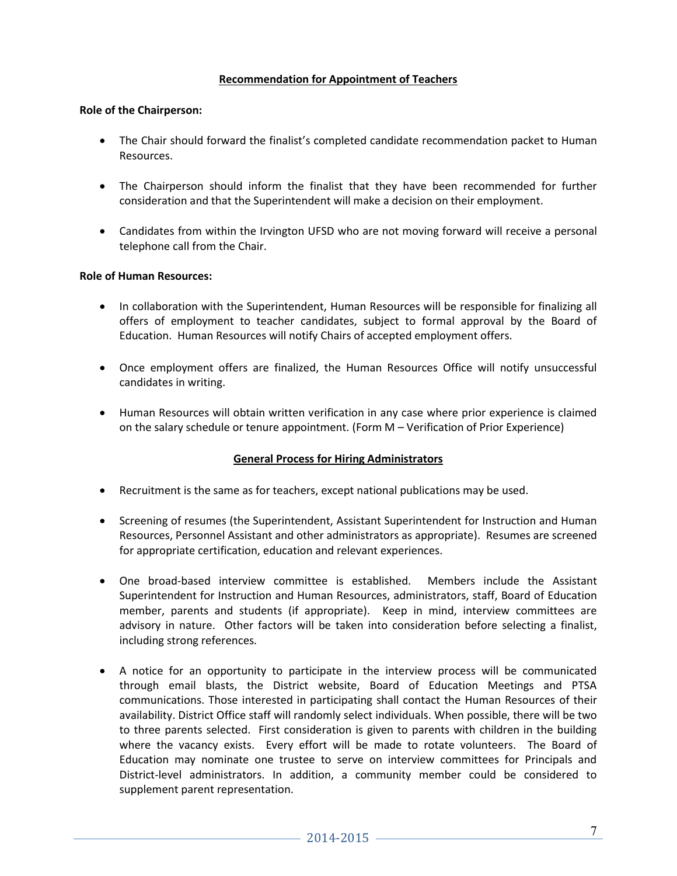### **Recommendation for Appointment of Teachers**

#### **Role of the Chairperson:**

- The Chair should forward the finalist's completed candidate recommendation packet to Human Resources.
- The Chairperson should inform the finalist that they have been recommended for further consideration and that the Superintendent will make a decision on their employment.
- Candidates from within the Irvington UFSD who are not moving forward will receive a personal telephone call from the Chair.

#### **Role of Human Resources:**

- In collaboration with the Superintendent, Human Resources will be responsible for finalizing all offers of employment to teacher candidates, subject to formal approval by the Board of Education. Human Resources will notify Chairs of accepted employment offers.
- Once employment offers are finalized, the Human Resources Office will notify unsuccessful candidates in writing.
- Human Resources will obtain written verification in any case where prior experience is claimed on the salary schedule or tenure appointment. (Form M – Verification of Prior Experience)

### **General Process for Hiring Administrators**

- Recruitment is the same as for teachers, except national publications may be used.
- Screening of resumes (the Superintendent, Assistant Superintendent for Instruction and Human Resources, Personnel Assistant and other administrators as appropriate). Resumes are screened for appropriate certification, education and relevant experiences.
- One broad-based interview committee is established. Members include the Assistant Superintendent for Instruction and Human Resources, administrators, staff, Board of Education member, parents and students (if appropriate). Keep in mind, interview committees are advisory in nature. Other factors will be taken into consideration before selecting a finalist, including strong references.
- A notice for an opportunity to participate in the interview process will be communicated through email blasts, the District website, Board of Education Meetings and PTSA communications. Those interested in participating shall contact the Human Resources of their availability. District Office staff will randomly select individuals. When possible, there will be two to three parents selected. First consideration is given to parents with children in the building where the vacancy exists. Every effort will be made to rotate volunteers. The Board of Education may nominate one trustee to serve on interview committees for Principals and District-level administrators. In addition, a community member could be considered to supplement parent representation.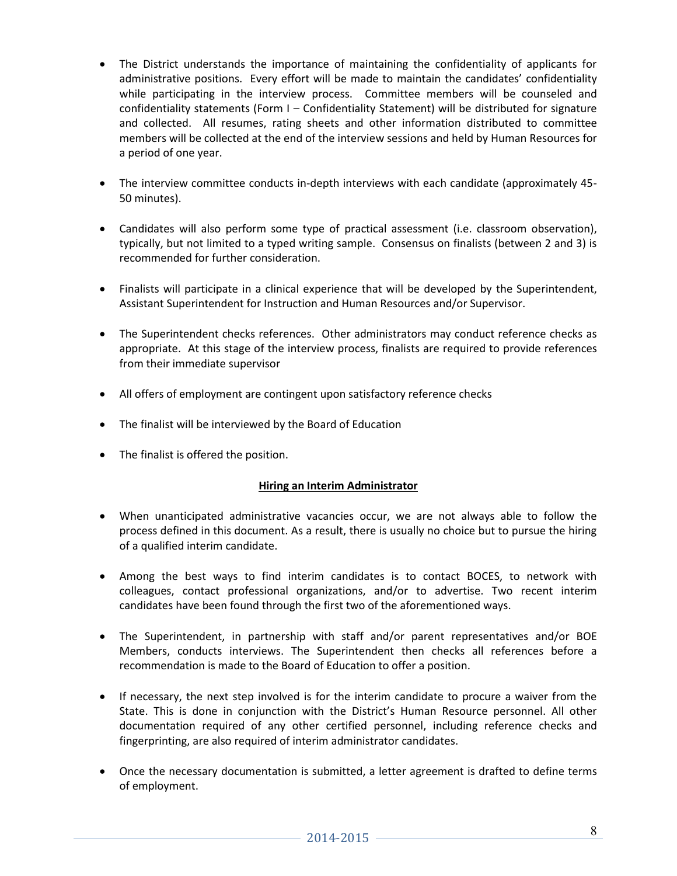- The District understands the importance of maintaining the confidentiality of applicants for administrative positions. Every effort will be made to maintain the candidates' confidentiality while participating in the interview process. Committee members will be counseled and confidentiality statements (Form I – Confidentiality Statement) will be distributed for signature and collected. All resumes, rating sheets and other information distributed to committee members will be collected at the end of the interview sessions and held by Human Resources for a period of one year.
- The interview committee conducts in-depth interviews with each candidate (approximately 45- 50 minutes).
- Candidates will also perform some type of practical assessment (i.e. classroom observation), typically, but not limited to a typed writing sample. Consensus on finalists (between 2 and 3) is recommended for further consideration.
- Finalists will participate in a clinical experience that will be developed by the Superintendent, Assistant Superintendent for Instruction and Human Resources and/or Supervisor.
- The Superintendent checks references. Other administrators may conduct reference checks as appropriate. At this stage of the interview process, finalists are required to provide references from their immediate supervisor
- All offers of employment are contingent upon satisfactory reference checks
- The finalist will be interviewed by the Board of Education
- The finalist is offered the position.

### **Hiring an Interim Administrator**

- When unanticipated administrative vacancies occur, we are not always able to follow the process defined in this document. As a result, there is usually no choice but to pursue the hiring of a qualified interim candidate.
- Among the best ways to find interim candidates is to contact BOCES, to network with colleagues, contact professional organizations, and/or to advertise. Two recent interim candidates have been found through the first two of the aforementioned ways.
- The Superintendent, in partnership with staff and/or parent representatives and/or BOE Members, conducts interviews. The Superintendent then checks all references before a recommendation is made to the Board of Education to offer a position.
- If necessary, the next step involved is for the interim candidate to procure a waiver from the State. This is done in conjunction with the District's Human Resource personnel. All other documentation required of any other certified personnel, including reference checks and fingerprinting, are also required of interim administrator candidates.
- Once the necessary documentation is submitted, a letter agreement is drafted to define terms of employment.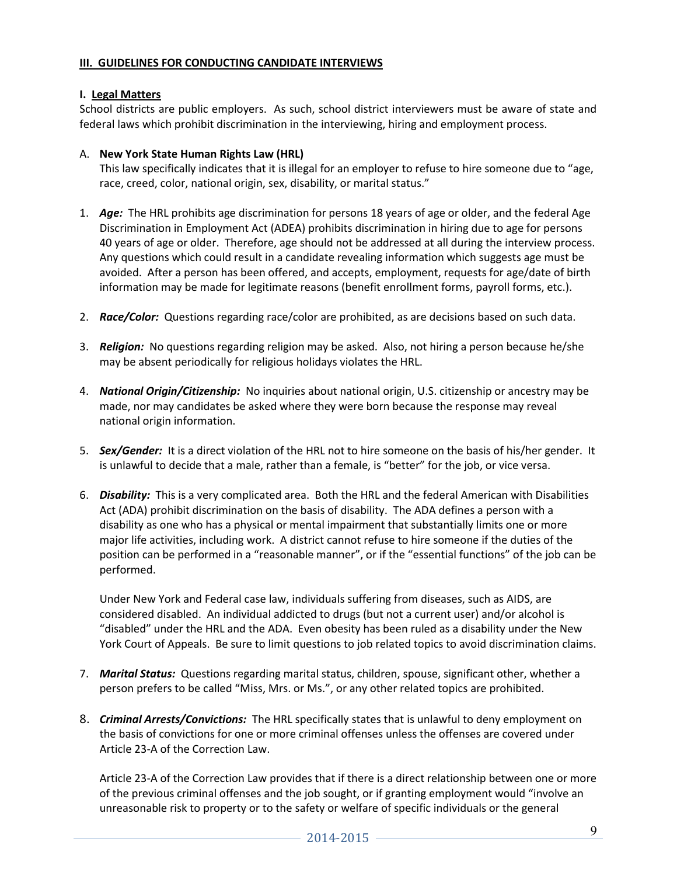### **III. GUIDELINES FOR CONDUCTING CANDIDATE INTERVIEWS**

### **I. Legal Matters**

School districts are public employers. As such, school district interviewers must be aware of state and federal laws which prohibit discrimination in the interviewing, hiring and employment process.

### A. **New York State Human Rights Law (HRL)**

This law specifically indicates that it is illegal for an employer to refuse to hire someone due to "age, race, creed, color, national origin, sex, disability, or marital status."

- 1. *Age:* The HRL prohibits age discrimination for persons 18 years of age or older, and the federal Age Discrimination in Employment Act (ADEA) prohibits discrimination in hiring due to age for persons 40 years of age or older. Therefore, age should not be addressed at all during the interview process. Any questions which could result in a candidate revealing information which suggests age must be avoided. After a person has been offered, and accepts, employment, requests for age/date of birth information may be made for legitimate reasons (benefit enrollment forms, payroll forms, etc.).
- 2. *Race/Color:* Questions regarding race/color are prohibited, as are decisions based on such data.
- 3. *Religion:* No questions regarding religion may be asked. Also, not hiring a person because he/she may be absent periodically for religious holidays violates the HRL.
- 4. *National Origin/Citizenship:* No inquiries about national origin, U.S. citizenship or ancestry may be made, nor may candidates be asked where they were born because the response may reveal national origin information.
- 5. *Sex/Gender:* It is a direct violation of the HRL not to hire someone on the basis of his/her gender. It is unlawful to decide that a male, rather than a female, is "better" for the job, or vice versa.
- 6. *Disability:* This is a very complicated area. Both the HRL and the federal American with Disabilities Act (ADA) prohibit discrimination on the basis of disability. The ADA defines a person with a disability as one who has a physical or mental impairment that substantially limits one or more major life activities, including work. A district cannot refuse to hire someone if the duties of the position can be performed in a "reasonable manner", or if the "essential functions" of the job can be performed.

Under New York and Federal case law, individuals suffering from diseases, such as AIDS, are considered disabled. An individual addicted to drugs (but not a current user) and/or alcohol is "disabled" under the HRL and the ADA. Even obesity has been ruled as a disability under the New York Court of Appeals. Be sure to limit questions to job related topics to avoid discrimination claims.

- 7. *Marital Status:* Questions regarding marital status, children, spouse, significant other, whether a person prefers to be called "Miss, Mrs. or Ms.", or any other related topics are prohibited.
- 8. *Criminal Arrests/Convictions:* The HRL specifically states that is unlawful to deny employment on the basis of convictions for one or more criminal offenses unless the offenses are covered under Article 23-A of the Correction Law.

Article 23-A of the Correction Law provides that if there is a direct relationship between one or more of the previous criminal offenses and the job sought, or if granting employment would "involve an unreasonable risk to property or to the safety or welfare of specific individuals or the general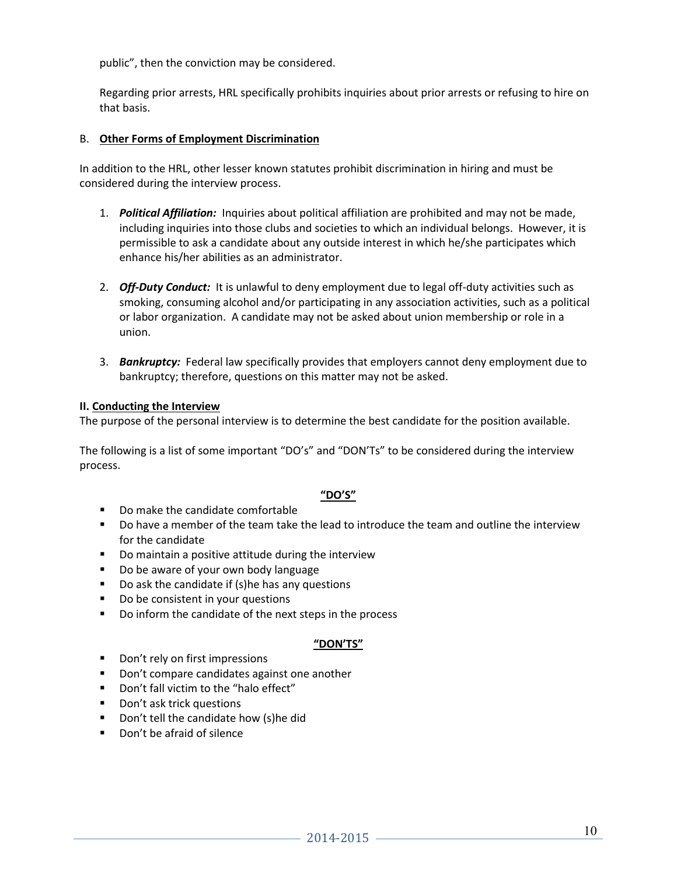public", then the conviction may be considered.

Regarding prior arrests, HRL specifically prohibits inquiries about prior arrests or refusing to hire on that basis.

#### B. **Other Forms of Employment Discrimination**

In addition to the HRL, other lesser known statutes prohibit discrimination in hiring and must be considered during the interview process.

- 1. *Political Affiliation:* Inquiries about political affiliation are prohibited and may not be made, including inquiries into those clubs and societies to which an individual belongs. However, it is permissible to ask a candidate about any outside interest in which he/she participates which enhance his/her abilities as an administrator.
- 2. *Off-Duty Conduct:* It is unlawful to deny employment due to legal off-duty activities such as smoking, consuming alcohol and/or participating in any association activities, such as a political or labor organization. A candidate may not be asked about union membership or role in a union.
- 3. *Bankruptcy:* Federal law specifically provides that employers cannot deny employment due to bankruptcy; therefore, questions on this matter may not be asked.

#### **II. Conducting the Interview**

The purpose of the personal interview is to determine the best candidate for the position available.

The following is a list of some important "DO's" and "DON'Ts" to be considered during the interview process.

### **"DO'S"**

- Do make the candidate comfortable
- Do have a member of the team take the lead to introduce the team and outline the interview for the candidate
- **Do maintain a positive attitude during the interview**
- Do be aware of your own body language
- Do ask the candidate if (s)he has any questions
- Do be consistent in your questions
- Do inform the candidate of the next steps in the process

#### **"DON'TS"**

- Don't rely on first impressions
- **Don't compare candidates against one another**
- Don't fall victim to the "halo effect"
- Don't ask trick questions
- **Don't tell the candidate how (s)he did**
- Don't be afraid of silence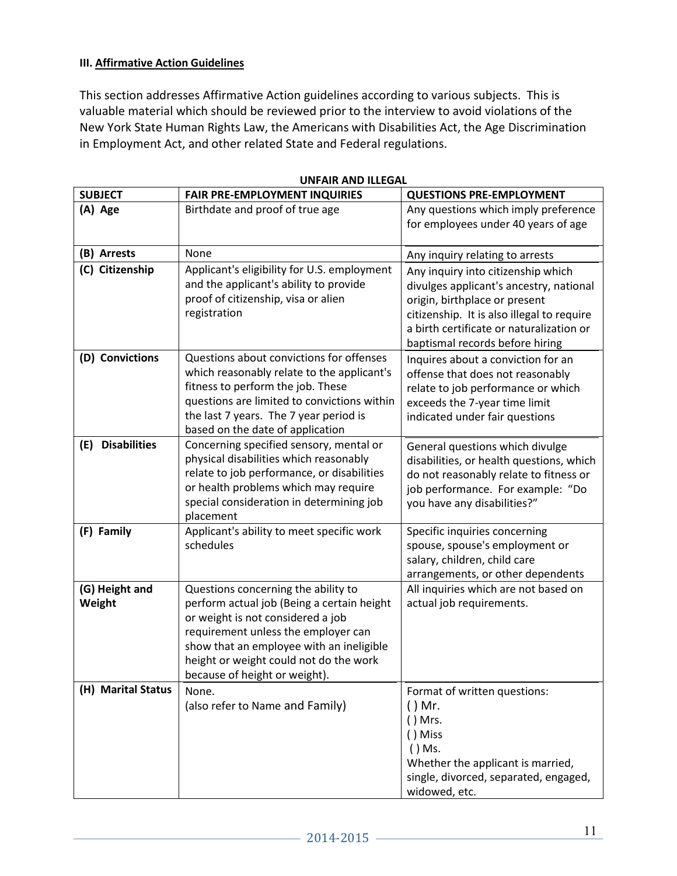### **III. Affirmative Action Guidelines**

This section addresses Affirmative Action guidelines according to various subjects. This is valuable material which should be reviewed prior to the interview to avoid violations of the New York State Human Rights Law, the Americans with Disabilities Act, the Age Discrimination in Employment Act, and other related State and Federal regulations.

| <b>SUBJECT</b>             | <b>FAIR PRE-EMPLOYMENT INQUIRIES</b>                                                                                                                                                                                                                                                 | <b>QUESTIONS PRE-EMPLOYMENT</b>                                                                                                                                                                                                             |
|----------------------------|--------------------------------------------------------------------------------------------------------------------------------------------------------------------------------------------------------------------------------------------------------------------------------------|---------------------------------------------------------------------------------------------------------------------------------------------------------------------------------------------------------------------------------------------|
| (A) Age                    | Birthdate and proof of true age                                                                                                                                                                                                                                                      | Any questions which imply preference<br>for employees under 40 years of age                                                                                                                                                                 |
| (B) Arrests                | None                                                                                                                                                                                                                                                                                 | Any inquiry relating to arrests                                                                                                                                                                                                             |
| (C) Citizenship            | Applicant's eligibility for U.S. employment<br>and the applicant's ability to provide<br>proof of citizenship, visa or alien<br>registration                                                                                                                                         | Any inquiry into citizenship which<br>divulges applicant's ancestry, national<br>origin, birthplace or present<br>citizenship. It is also illegal to require<br>a birth certificate or naturalization or<br>baptismal records before hiring |
| (D) Convictions            | Questions about convictions for offenses<br>which reasonably relate to the applicant's<br>fitness to perform the job. These<br>questions are limited to convictions within<br>the last 7 years. The 7 year period is<br>based on the date of application                             | Inquires about a conviction for an<br>offense that does not reasonably<br>relate to job performance or which<br>exceeds the 7-year time limit<br>indicated under fair questions                                                             |
| <b>Disabilities</b><br>(E) | Concerning specified sensory, mental or<br>physical disabilities which reasonably<br>relate to job performance, or disabilities<br>or health problems which may require<br>special consideration in determining job<br>placement                                                     | General questions which divulge<br>disabilities, or health questions, which<br>do not reasonably relate to fitness or<br>job performance. For example: "Do<br>you have any disabilities?"                                                   |
| (F) Family                 | Applicant's ability to meet specific work<br>schedules                                                                                                                                                                                                                               | Specific inquiries concerning<br>spouse, spouse's employment or<br>salary, children, child care<br>arrangements, or other dependents                                                                                                        |
| (G) Height and<br>Weight   | Questions concerning the ability to<br>perform actual job (Being a certain height<br>or weight is not considered a job<br>requirement unless the employer can<br>show that an employee with an ineligible<br>height or weight could not do the work<br>because of height or weight). | All inquiries which are not based on<br>actual job requirements.                                                                                                                                                                            |
| (H) Marital Status         | None.<br>(also refer to Name and Family)                                                                                                                                                                                                                                             | Format of written questions:<br>$()$ Mr.<br>$()$ Mrs.<br>() Miss<br>$()$ Ms.<br>Whether the applicant is married,<br>single, divorced, separated, engaged,<br>widowed, etc.                                                                 |

#### **UNFAIR AND ILLEGAL**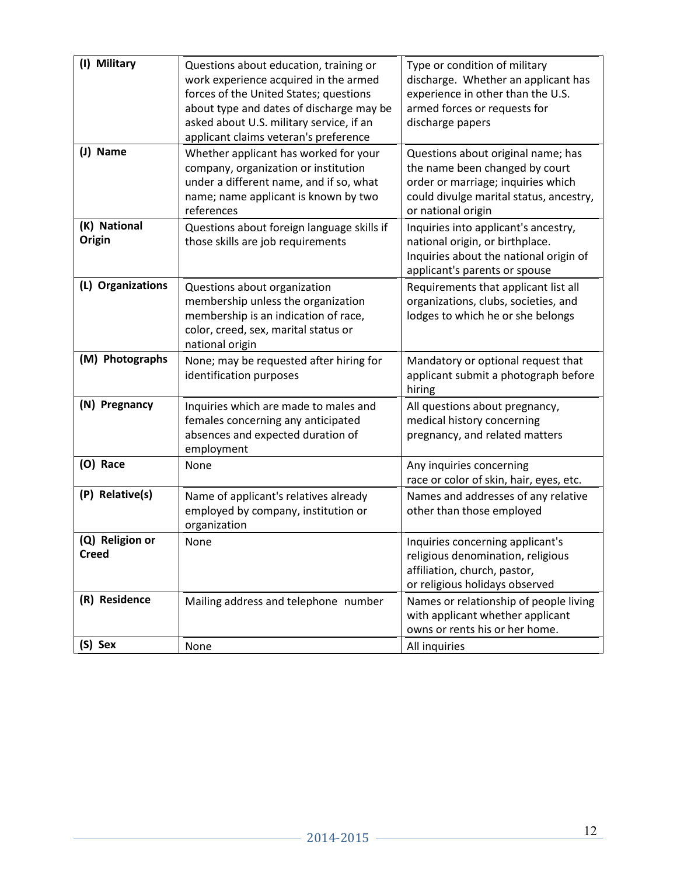| (I) Military                    | Questions about education, training or<br>work experience acquired in the armed<br>forces of the United States; questions<br>about type and dates of discharge may be<br>asked about U.S. military service, if an<br>applicant claims veteran's preference | Type or condition of military<br>discharge. Whether an applicant has<br>experience in other than the U.S.<br>armed forces or requests for<br>discharge papers               |
|---------------------------------|------------------------------------------------------------------------------------------------------------------------------------------------------------------------------------------------------------------------------------------------------------|-----------------------------------------------------------------------------------------------------------------------------------------------------------------------------|
| (J) Name                        | Whether applicant has worked for your<br>company, organization or institution<br>under a different name, and if so, what<br>name; name applicant is known by two<br>references                                                                             | Questions about original name; has<br>the name been changed by court<br>order or marriage; inquiries which<br>could divulge marital status, ancestry,<br>or national origin |
| (K) National<br>Origin          | Questions about foreign language skills if<br>those skills are job requirements                                                                                                                                                                            | Inquiries into applicant's ancestry,<br>national origin, or birthplace.<br>Inquiries about the national origin of<br>applicant's parents or spouse                          |
| (L) Organizations               | Questions about organization<br>membership unless the organization<br>membership is an indication of race,<br>color, creed, sex, marital status or<br>national origin                                                                                      | Requirements that applicant list all<br>organizations, clubs, societies, and<br>lodges to which he or she belongs                                                           |
| (M) Photographs                 | None; may be requested after hiring for<br>identification purposes                                                                                                                                                                                         | Mandatory or optional request that<br>applicant submit a photograph before<br>hiring                                                                                        |
| (N) Pregnancy                   | Inquiries which are made to males and<br>females concerning any anticipated<br>absences and expected duration of<br>employment                                                                                                                             | All questions about pregnancy,<br>medical history concerning<br>pregnancy, and related matters                                                                              |
| (O) Race                        | None                                                                                                                                                                                                                                                       | Any inquiries concerning<br>race or color of skin, hair, eyes, etc.                                                                                                         |
| (P) Relative(s)                 | Name of applicant's relatives already<br>employed by company, institution or<br>organization                                                                                                                                                               | Names and addresses of any relative<br>other than those employed                                                                                                            |
| (Q) Religion or<br><b>Creed</b> | None                                                                                                                                                                                                                                                       | Inquiries concerning applicant's<br>religious denomination, religious<br>affiliation, church, pastor,                                                                       |
|                                 |                                                                                                                                                                                                                                                            | or religious holidays observed                                                                                                                                              |
| (R) Residence                   | Mailing address and telephone number                                                                                                                                                                                                                       | Names or relationship of people living<br>with applicant whether applicant<br>owns or rents his or her home.                                                                |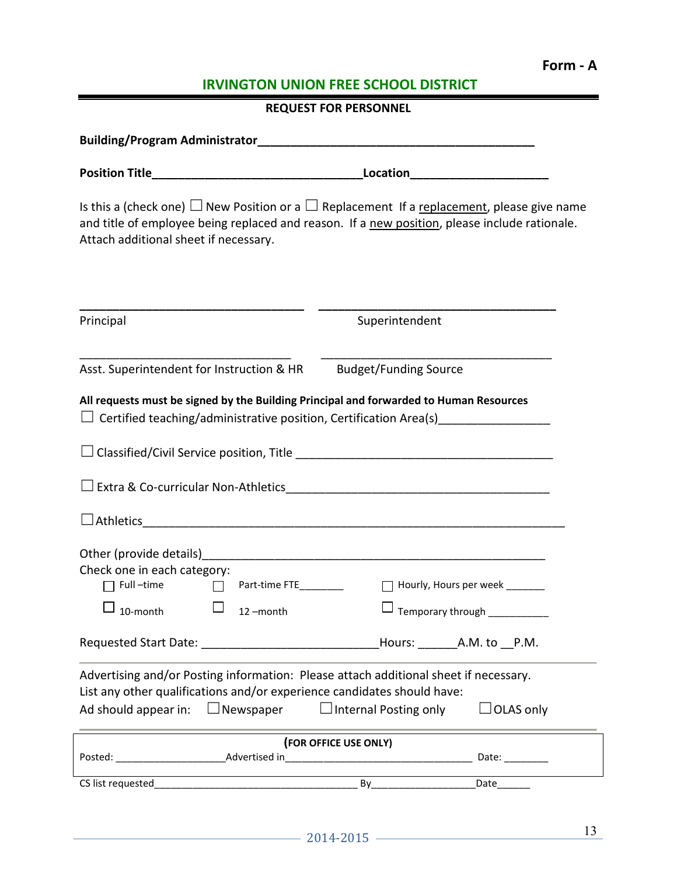# **Form - A**

# **IRVINGTON UNION FREE SCHOOL DISTRICT**

|                                                                                                                                                                                                                                       | <b>REQUEST FOR PERSONNEL</b>                                                                                                                                                                          |
|---------------------------------------------------------------------------------------------------------------------------------------------------------------------------------------------------------------------------------------|-------------------------------------------------------------------------------------------------------------------------------------------------------------------------------------------------------|
|                                                                                                                                                                                                                                       |                                                                                                                                                                                                       |
|                                                                                                                                                                                                                                       |                                                                                                                                                                                                       |
| Attach additional sheet if necessary.                                                                                                                                                                                                 | Is this a (check one) $\Box$ New Position or a $\Box$ Replacement If a replacement, please give name<br>and title of employee being replaced and reason. If a new position, please include rationale. |
| Principal                                                                                                                                                                                                                             | Superintendent                                                                                                                                                                                        |
| Asst. Superintendent for Instruction & HR                                                                                                                                                                                             | <b>Budget/Funding Source</b>                                                                                                                                                                          |
| All requests must be signed by the Building Principal and forwarded to Human Resources<br>$\Box$ Certified teaching/administrative position, Certification Area(s)_________________                                                   |                                                                                                                                                                                                       |
|                                                                                                                                                                                                                                       |                                                                                                                                                                                                       |
|                                                                                                                                                                                                                                       |                                                                                                                                                                                                       |
|                                                                                                                                                                                                                                       |                                                                                                                                                                                                       |
| Check one in each category:<br>Full-time<br>Part-time FTE________                                                                                                                                                                     | Hourly, Hours per week _______                                                                                                                                                                        |
| 10-month<br>12-month                                                                                                                                                                                                                  | Temporary through ____________                                                                                                                                                                        |
| Requested Start Date: __________________________________Hours: _________A.M. to __P.M.                                                                                                                                                |                                                                                                                                                                                                       |
| Advertising and/or Posting information: Please attach additional sheet if necessary.<br>List any other qualifications and/or experience candidates should have:<br>Ad should appear in: $\Box$ Newspaper $\Box$ Internal Posting only | $\Box$ OLAS only                                                                                                                                                                                      |
|                                                                                                                                                                                                                                       | (FOR OFFICE USE ONLY)                                                                                                                                                                                 |
|                                                                                                                                                                                                                                       |                                                                                                                                                                                                       |
|                                                                                                                                                                                                                                       |                                                                                                                                                                                                       |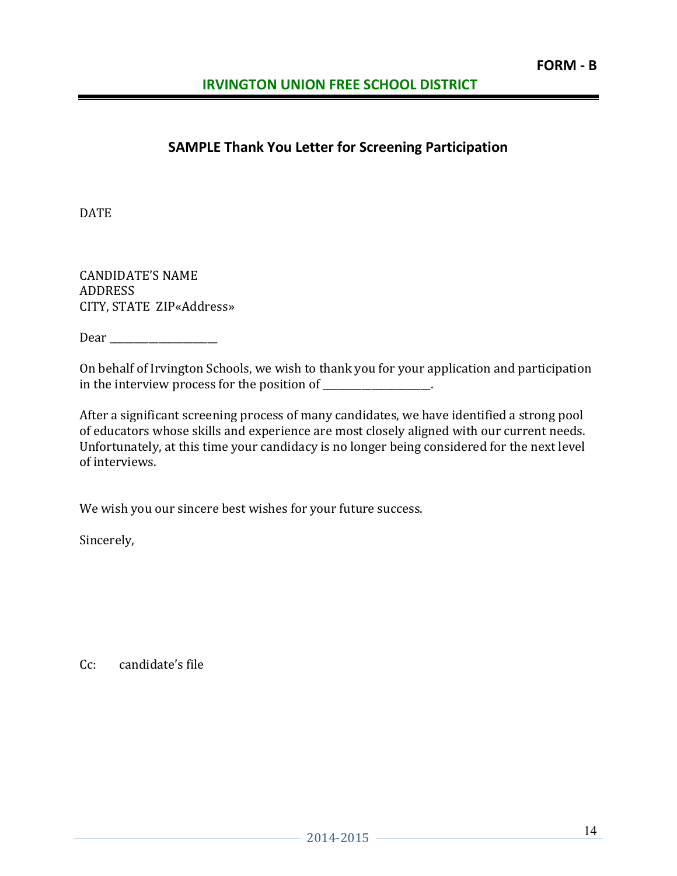# **SAMPLE Thank You Letter for Screening Participation**

DATE

CANDIDATE'S NAME ADDRESS CITY, STATE ZIP«Address»

Dear \_\_\_\_\_\_\_\_\_\_\_\_\_\_\_\_\_\_\_\_\_\_

On behalf of Irvington Schools, we wish to thank you for your application and participation in the interview process for the position of \_\_\_\_\_\_\_\_\_\_\_\_\_\_\_\_.

After a significant screening process of many candidates, we have identified a strong pool of educators whose skills and experience are most closely aligned with our current needs. Unfortunately, at this time your candidacy is no longer being considered for the next level of interviews.

We wish you our sincere best wishes for your future success.

Sincerely,

Cc: candidate's file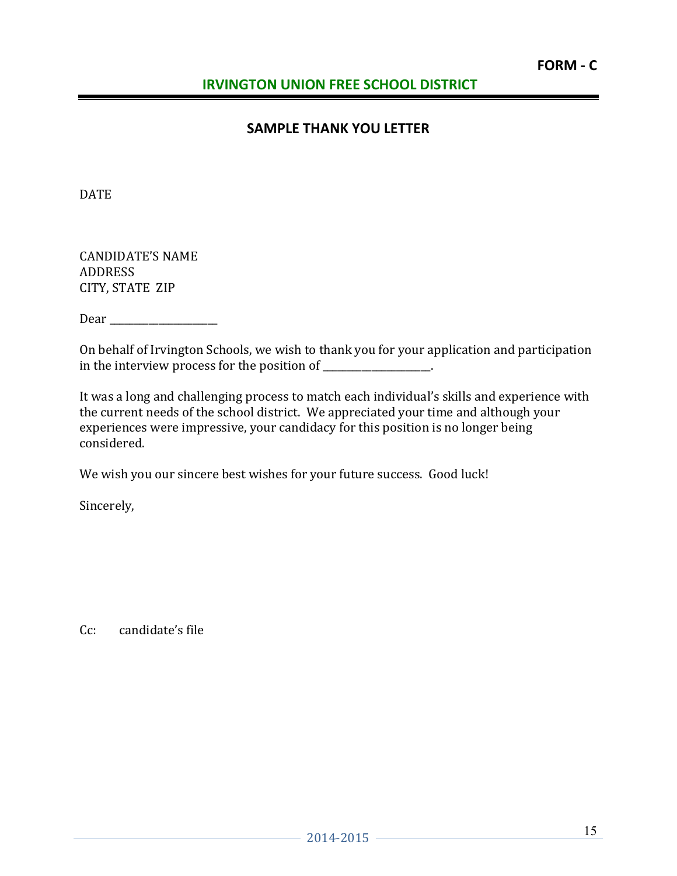# **SAMPLE THANK YOU LETTER**

DATE

CANDIDATE'S NAME ADDRESS CITY, STATE ZIP

Dear \_\_\_\_\_\_\_\_\_\_\_\_\_\_\_\_\_\_\_\_\_\_

On behalf of Irvington Schools, we wish to thank you for your application and participation in the interview process for the position of  $\blacksquare$ 

It was a long and challenging process to match each individual's skills and experience with the current needs of the school district. We appreciated your time and although your experiences were impressive, your candidacy for this position is no longer being considered.

We wish you our sincere best wishes for your future success. Good luck!

Sincerely,

Cc: candidate's file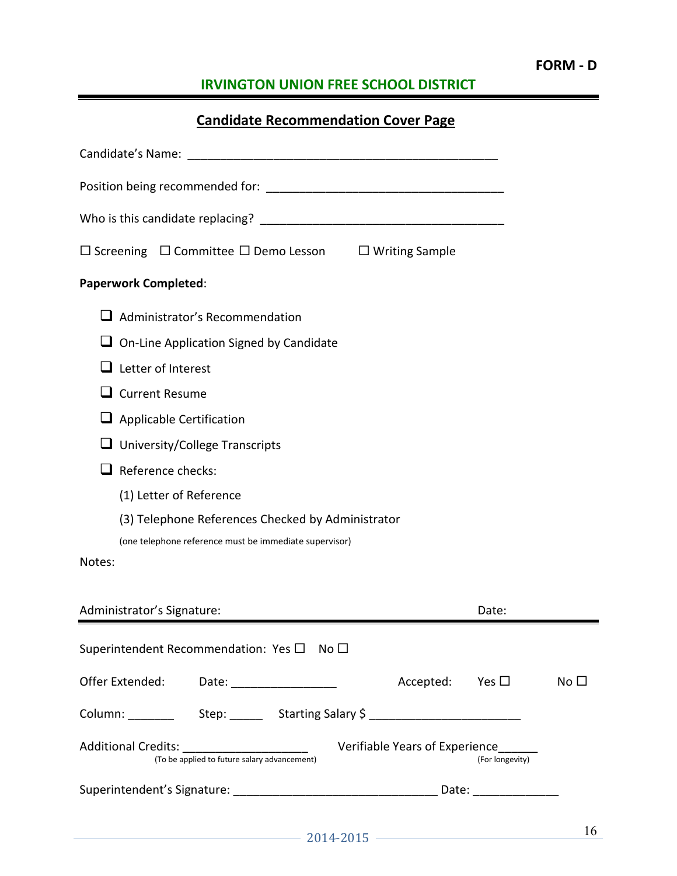| <b>Candidate Recommendation Cover Page</b>                                                   |                                |                  |              |
|----------------------------------------------------------------------------------------------|--------------------------------|------------------|--------------|
|                                                                                              |                                |                  |              |
|                                                                                              |                                |                  |              |
|                                                                                              |                                |                  |              |
| $\Box$ Screening $\Box$ Committee $\Box$ Demo Lesson $\Box$ Writing Sample                   |                                |                  |              |
| <b>Paperwork Completed:</b>                                                                  |                                |                  |              |
| $\Box$ Administrator's Recommendation                                                        |                                |                  |              |
| $\Box$ On-Line Application Signed by Candidate                                               |                                |                  |              |
| $\Box$ Letter of Interest                                                                    |                                |                  |              |
| <b>Current Resume</b>                                                                        |                                |                  |              |
| $\Box$ Applicable Certification                                                              |                                |                  |              |
| $\Box$ University/College Transcripts                                                        |                                |                  |              |
| $\Box$ Reference checks:                                                                     |                                |                  |              |
| (1) Letter of Reference                                                                      |                                |                  |              |
| (3) Telephone References Checked by Administrator                                            |                                |                  |              |
| (one telephone reference must be immediate supervisor)                                       |                                |                  |              |
| Notes:                                                                                       |                                |                  |              |
| Administrator's Signature:                                                                   |                                | Date:            |              |
| Superintendent Recommendation: Yes $\square$ No $\square$                                    |                                |                  |              |
| Offer Extended: Date: _________________                                                      | Accepted: Yes $\square$        |                  | No $\square$ |
|                                                                                              |                                |                  |              |
| Additional Credits: ________________________<br>(To be applied to future salary advancement) | Verifiable Years of Experience | (For longevity)  |              |
|                                                                                              |                                | Date: __________ |              |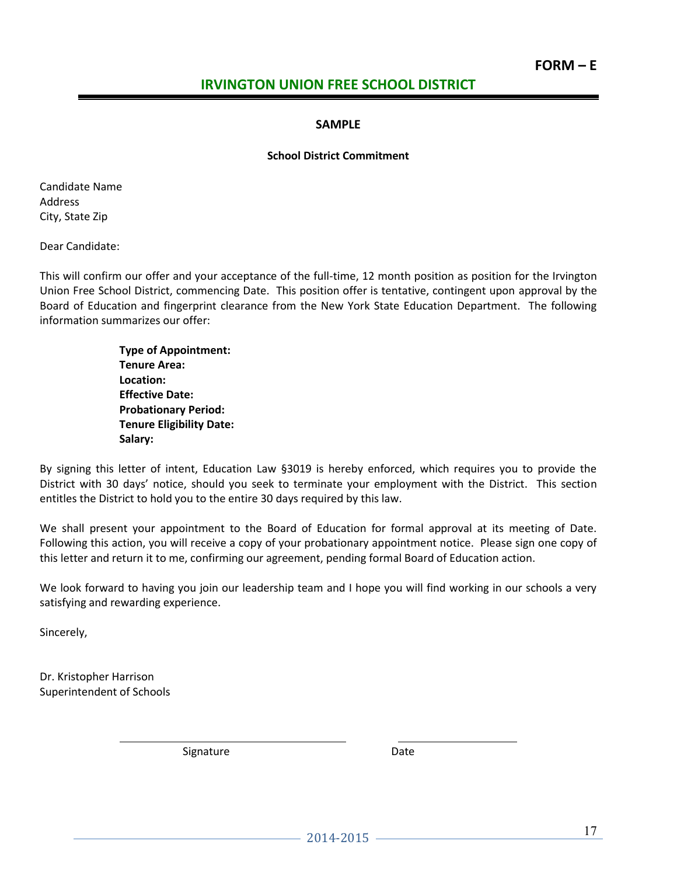### **SAMPLE**

#### **School District Commitment**

Candidate Name Address City, State Zip

Dear Candidate:

This will confirm our offer and your acceptance of the full-time, 12 month position as position for the Irvington Union Free School District, commencing Date. This position offer is tentative, contingent upon approval by the Board of Education and fingerprint clearance from the New York State Education Department. The following information summarizes our offer:

> **Type of Appointment: Tenure Area: Location: Effective Date: Probationary Period: Tenure Eligibility Date: Salary:**

By signing this letter of intent, Education Law §3019 is hereby enforced, which requires you to provide the District with 30 days' notice, should you seek to terminate your employment with the District. This section entitles the District to hold you to the entire 30 days required by this law.

We shall present your appointment to the Board of Education for formal approval at its meeting of Date. Following this action, you will receive a copy of your probationary appointment notice. Please sign one copy of this letter and return it to me, confirming our agreement, pending formal Board of Education action.

We look forward to having you join our leadership team and I hope you will find working in our schools a very satisfying and rewarding experience.

Sincerely,

Dr. Kristopher Harrison Superintendent of Schools

 $\overline{\phantom{0}}$ 

Signature Date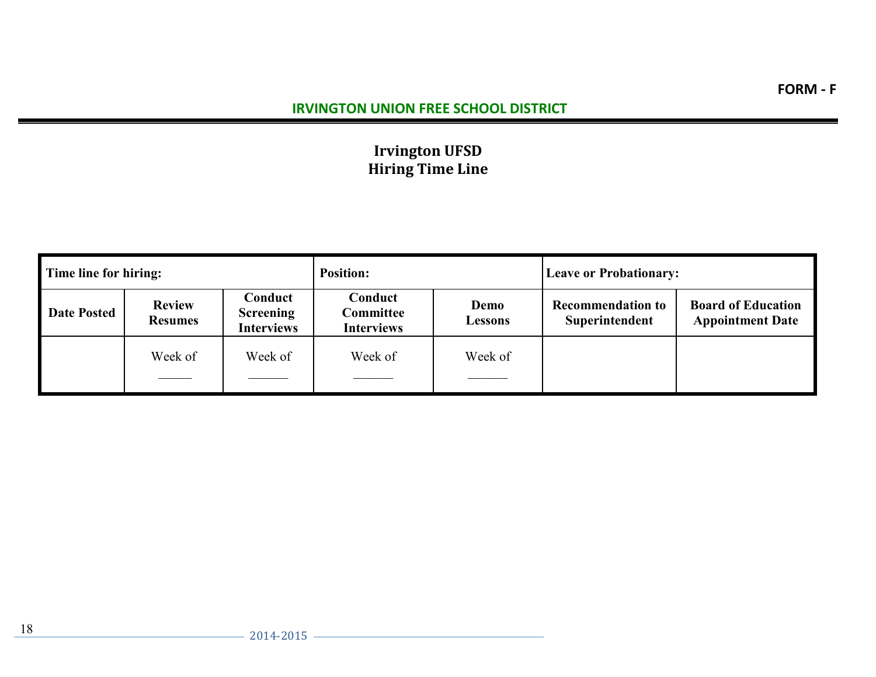# **Irvington UFSD Hiring Time Line**

| Time line for hiring: |                                 |                                                  | <b>Position:</b>                          |                        | <b>Leave or Probationary:</b>              |                                                      |
|-----------------------|---------------------------------|--------------------------------------------------|-------------------------------------------|------------------------|--------------------------------------------|------------------------------------------------------|
| <b>Date Posted</b>    | <b>Review</b><br><b>Resumes</b> | Conduct<br><b>Screening</b><br><b>Interviews</b> | Conduct<br>Committee<br><b>Interviews</b> | Demo<br><b>Lessons</b> | <b>Recommendation to</b><br>Superintendent | <b>Board of Education</b><br><b>Appointment Date</b> |
|                       | Week of                         | Week of                                          | Week of                                   | Week of                |                                            |                                                      |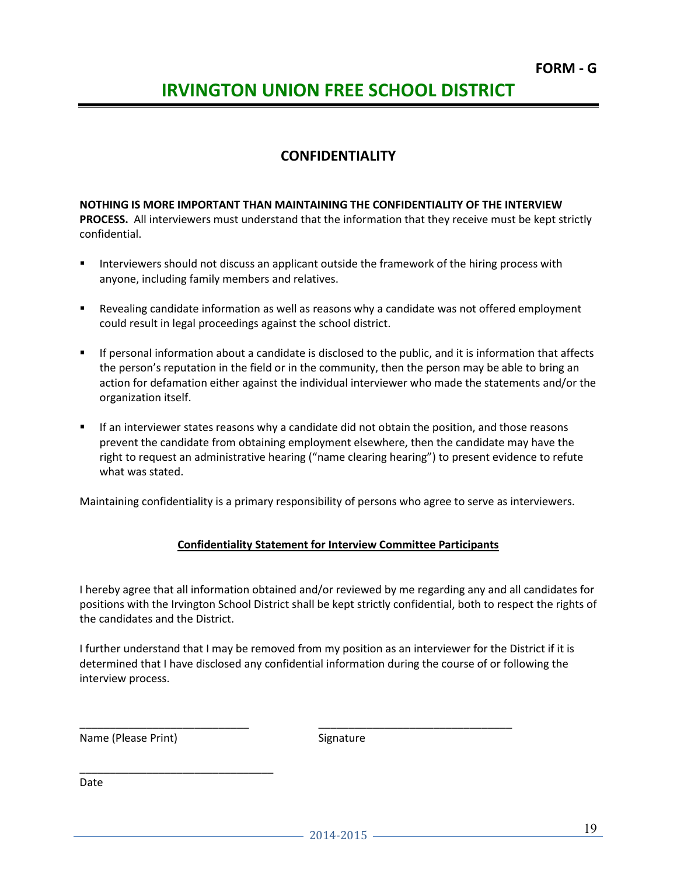### **CONFIDENTIALITY**

**NOTHING IS MORE IMPORTANT THAN MAINTAINING THE CONFIDENTIALITY OF THE INTERVIEW PROCESS.** All interviewers must understand that the information that they receive must be kept strictly confidential.

- Interviewers should not discuss an applicant outside the framework of the hiring process with anyone, including family members and relatives.
- Revealing candidate information as well as reasons why a candidate was not offered employment could result in legal proceedings against the school district.
- If personal information about a candidate is disclosed to the public, and it is information that affects the person's reputation in the field or in the community, then the person may be able to bring an action for defamation either against the individual interviewer who made the statements and/or the organization itself.
- If an interviewer states reasons why a candidate did not obtain the position, and those reasons prevent the candidate from obtaining employment elsewhere, then the candidate may have the right to request an administrative hearing ("name clearing hearing") to present evidence to refute what was stated.

Maintaining confidentiality is a primary responsibility of persons who agree to serve as interviewers.

### **Confidentiality Statement for Interview Committee Participants**

I hereby agree that all information obtained and/or reviewed by me regarding any and all candidates for positions with the Irvington School District shall be kept strictly confidential, both to respect the rights of the candidates and the District.

I further understand that I may be removed from my position as an interviewer for the District if it is determined that I have disclosed any confidential information during the course of or following the interview process.

\_\_\_\_\_\_\_\_\_\_\_\_\_\_\_\_\_\_\_\_\_\_\_\_\_\_\_\_ \_\_\_\_\_\_\_\_\_\_\_\_\_\_\_\_\_\_\_\_\_\_\_\_\_\_\_\_\_\_\_\_

Name (Please Print) Signature

\_\_\_\_\_\_\_\_\_\_\_\_\_\_\_\_\_\_\_\_\_\_\_\_\_\_\_\_\_\_\_\_

Date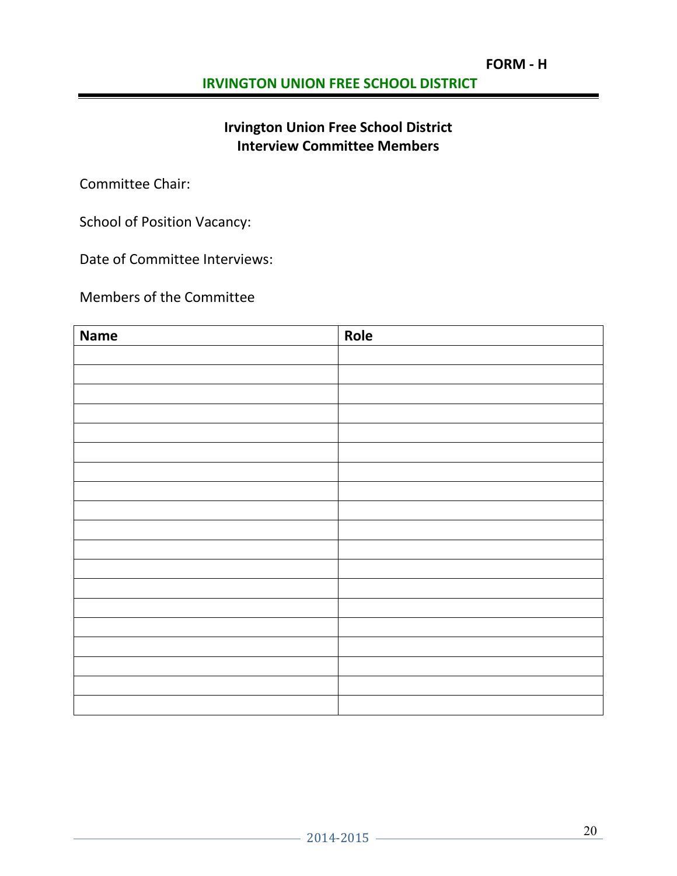# **Irvington Union Free School District Interview Committee Members**

Committee Chair:

School of Position Vacancy:

Date of Committee Interviews:

Members of the Committee

| <b>Name</b> | Role |
|-------------|------|
|             |      |
|             |      |
|             |      |
|             |      |
|             |      |
|             |      |
|             |      |
|             |      |
|             |      |
|             |      |
|             |      |
|             |      |
|             |      |
|             |      |
|             |      |
|             |      |
|             |      |
|             |      |
|             |      |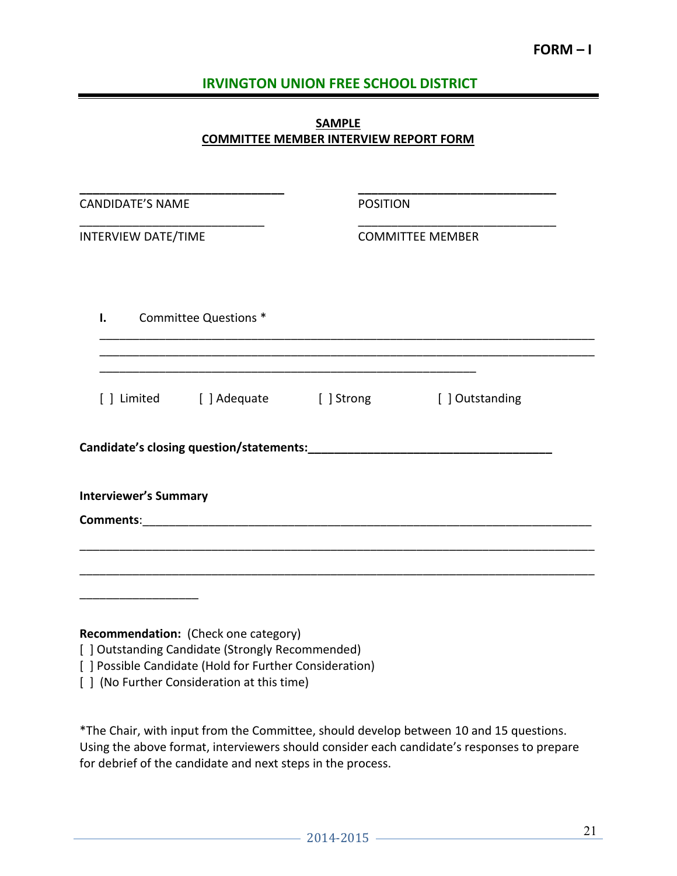### **SAMPLE COMMITTEE MEMBER INTERVIEW REPORT FORM**

| <b>CANDIDATE'S NAME</b>                                                                                     | <b>POSITION</b> |                         |
|-------------------------------------------------------------------------------------------------------------|-----------------|-------------------------|
| <b>INTERVIEW DATE/TIME</b>                                                                                  |                 | <b>COMMITTEE MEMBER</b> |
|                                                                                                             |                 |                         |
| Committee Questions *<br>I.                                                                                 |                 |                         |
|                                                                                                             |                 |                         |
| [] Limited [] Adequate [] Strong [] Outstanding                                                             |                 |                         |
|                                                                                                             |                 |                         |
| <b>Interviewer's Summary</b>                                                                                |                 |                         |
|                                                                                                             |                 |                         |
|                                                                                                             |                 |                         |
|                                                                                                             |                 |                         |
| Recommendation: (Check one category)                                                                        |                 |                         |
| [ ] Outstanding Candidate (Strongly Recommended)<br>[ ] Possible Candidate (Hold for Further Consideration) |                 |                         |

[] (No Further Consideration at this time)

\*The Chair, with input from the Committee, should develop between 10 and 15 questions. Using the above format, interviewers should consider each candidate's responses to prepare for debrief of the candidate and next steps in the process.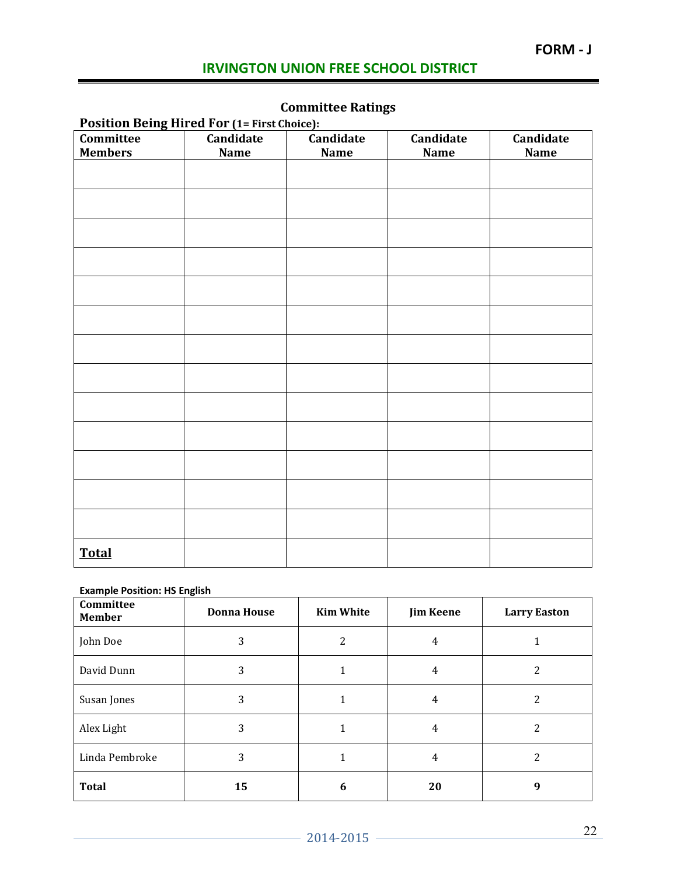# **FORM - J**

# **IRVINGTON UNION FREE SCHOOL DISTRICT**

# **Committee Ratings**

| ັ<br><b>Position Being Hired For (1= First Choice):</b> |             |             |             |             |
|---------------------------------------------------------|-------------|-------------|-------------|-------------|
| Committee                                               | Candidate   | Candidate   | Candidate   | Candidate   |
| <b>Members</b>                                          | <b>Name</b> | <b>Name</b> | <b>Name</b> | <b>Name</b> |
|                                                         |             |             |             |             |
|                                                         |             |             |             |             |
|                                                         |             |             |             |             |
|                                                         |             |             |             |             |
|                                                         |             |             |             |             |
|                                                         |             |             |             |             |
|                                                         |             |             |             |             |
|                                                         |             |             |             |             |
|                                                         |             |             |             |             |
|                                                         |             |             |             |             |
|                                                         |             |             |             |             |
|                                                         |             |             |             |             |
|                                                         |             |             |             |             |
|                                                         |             |             |             |             |
|                                                         |             |             |             |             |
|                                                         |             |             |             |             |
|                                                         |             |             |             |             |
|                                                         |             |             |             |             |
|                                                         |             |             |             |             |
|                                                         |             |             |             |             |
|                                                         |             |             |             |             |
|                                                         |             |             |             |             |
|                                                         |             |             |             |             |
|                                                         |             |             |             |             |
| <b>Total</b>                                            |             |             |             |             |

#### **Example Position: HS English**

| Committee<br><b>Member</b> | <b>Donna House</b> | <b>Kim White</b> | <b>Jim Keene</b> | <b>Larry Easton</b> |
|----------------------------|--------------------|------------------|------------------|---------------------|
| John Doe                   | 3                  | 2                | 4                |                     |
| David Dunn                 | 3                  |                  | 4                | 2                   |
| Susan Jones                | 3                  |                  | 4                | 2                   |
| Alex Light                 | 3                  |                  | 4                | 2                   |
| Linda Pembroke             | 3                  | 1                | 4                | 2                   |
| <b>Total</b>               | 15                 | 6                | 20               | 9                   |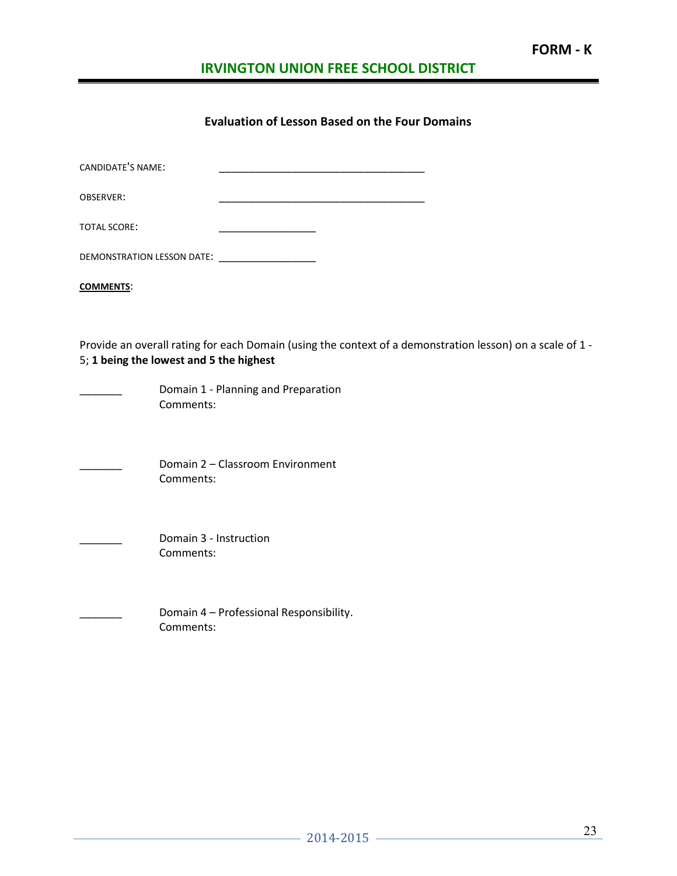### **Evaluation of Lesson Based on the Four Domains**

| <b>CANDIDATE'S NAME:</b>   |  |  |
|----------------------------|--|--|
| <b>OBSERVER:</b>           |  |  |
| <b>TOTAL SCORE:</b>        |  |  |
| DEMONSTRATION LESSON DATE: |  |  |

**COMMENTS**:

Provide an overall rating for each Domain (using the context of a demonstration lesson) on a scale of 1 - 5; **1 being the lowest and 5 the highest**

Domain 1 - Planning and Preparation Comments:

\_\_\_\_\_\_\_ Domain 2 – Classroom Environment Comments:

Domain 3 - Instruction Comments:

> Domain 4 – Professional Responsibility. Comments: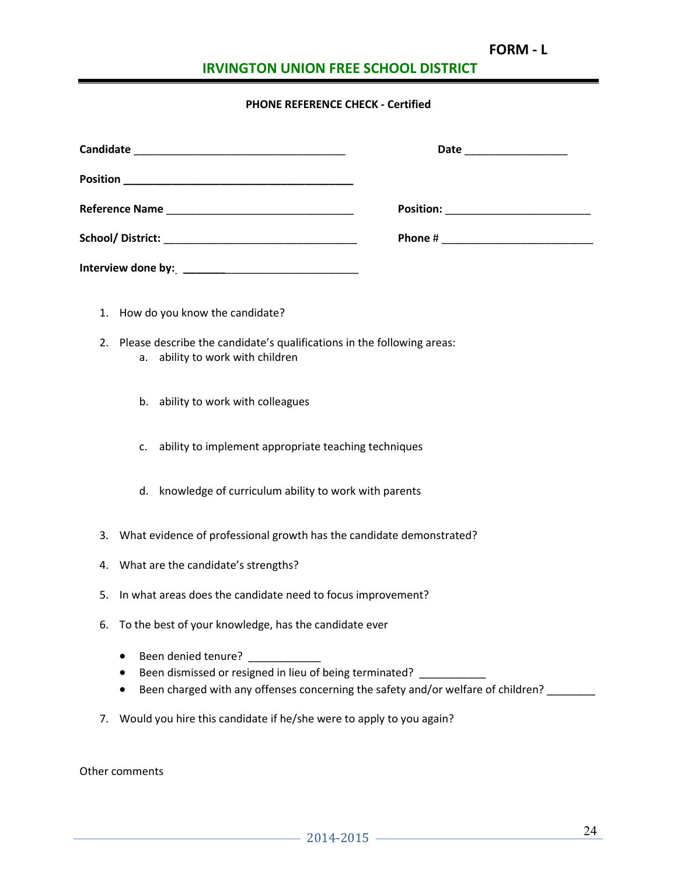# **FORM - L**

# **IRVINGTON UNION FREE SCHOOL DISTRICT**

### **PHONE REFERENCE CHECK - Certified**

|    | 1. How do you know the candidate?                                                                                                                                         |
|----|---------------------------------------------------------------------------------------------------------------------------------------------------------------------------|
| 2. | Please describe the candidate's qualifications in the following areas:<br>a. ability to work with children                                                                |
|    | b. ability to work with colleagues                                                                                                                                        |
|    | ability to implement appropriate teaching techniques<br>c.                                                                                                                |
|    | d. knowledge of curriculum ability to work with parents                                                                                                                   |
| 3. | What evidence of professional growth has the candidate demonstrated?                                                                                                      |
| 4. | What are the candidate's strengths?                                                                                                                                       |
| 5. | In what areas does the candidate need to focus improvement?                                                                                                               |
| 6. | To the best of your knowledge, has the candidate ever                                                                                                                     |
|    | $\bullet$<br>Been dismissed or resigned in lieu of being terminated? ___________<br>٠<br>Been charged with any offenses concerning the safety and/or welfare of children? |

7. Would you hire this candidate if he/she were to apply to you again?

Other comments